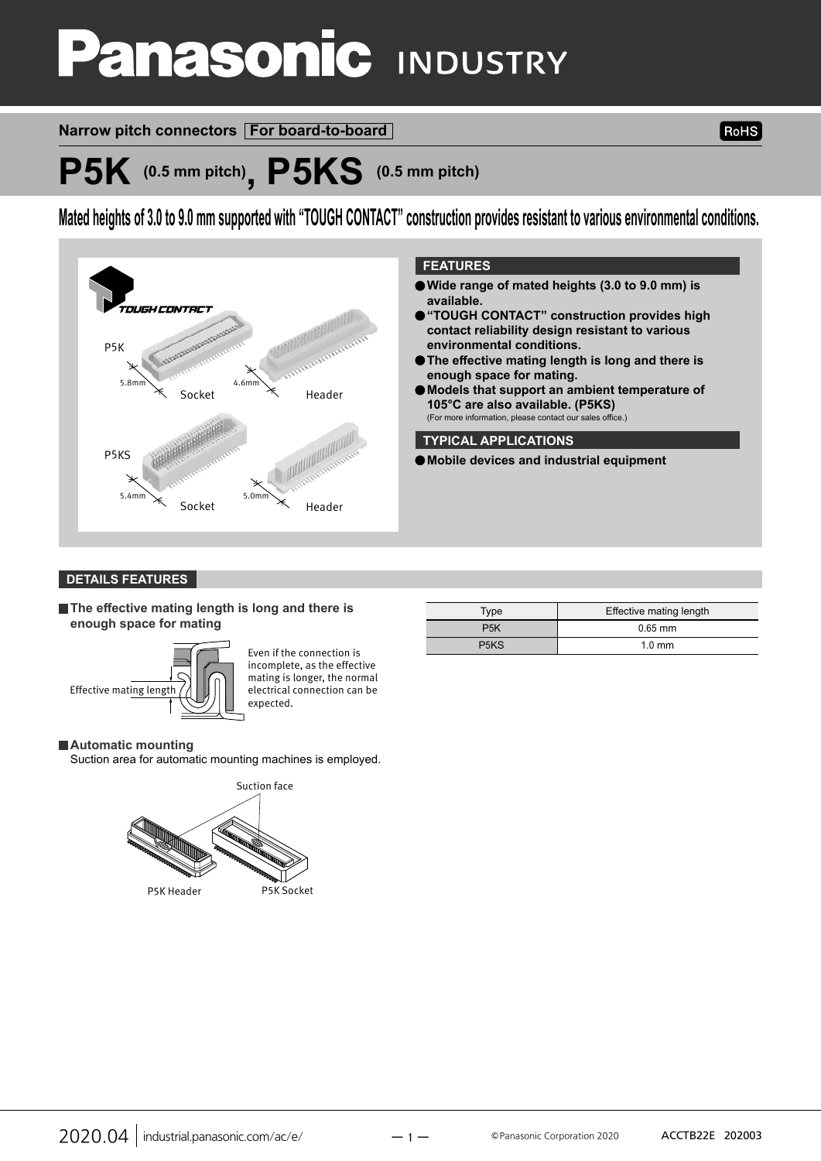# **anasonic INDUSTRY**

## **Narrow pitch connectors For board-to-board**

**RoHS** 

## **P5K (0.5 mm pitch), P5KS (0.5 mm pitch)**

**Mated heights of 3.0 to 9.0 mm supported with "TOUGH CONTACT" construction provides resistant to various environmental conditions.**



#### **DETAILS FEATURES**

**The effective mating length is long and there is enough space for mating**



Even if the connection is incomplete, as the effective mating is longer, the normal electrical connection can be expected.

#### **Automatic mounting**

Suction area for automatic mounting machines is employed.



| Type                          | Effective mating length |
|-------------------------------|-------------------------|
| P <sub>5</sub> K              | $0.65$ mm               |
| P <sub>5</sub> K <sub>S</sub> | $1.0 \text{ mm}$        |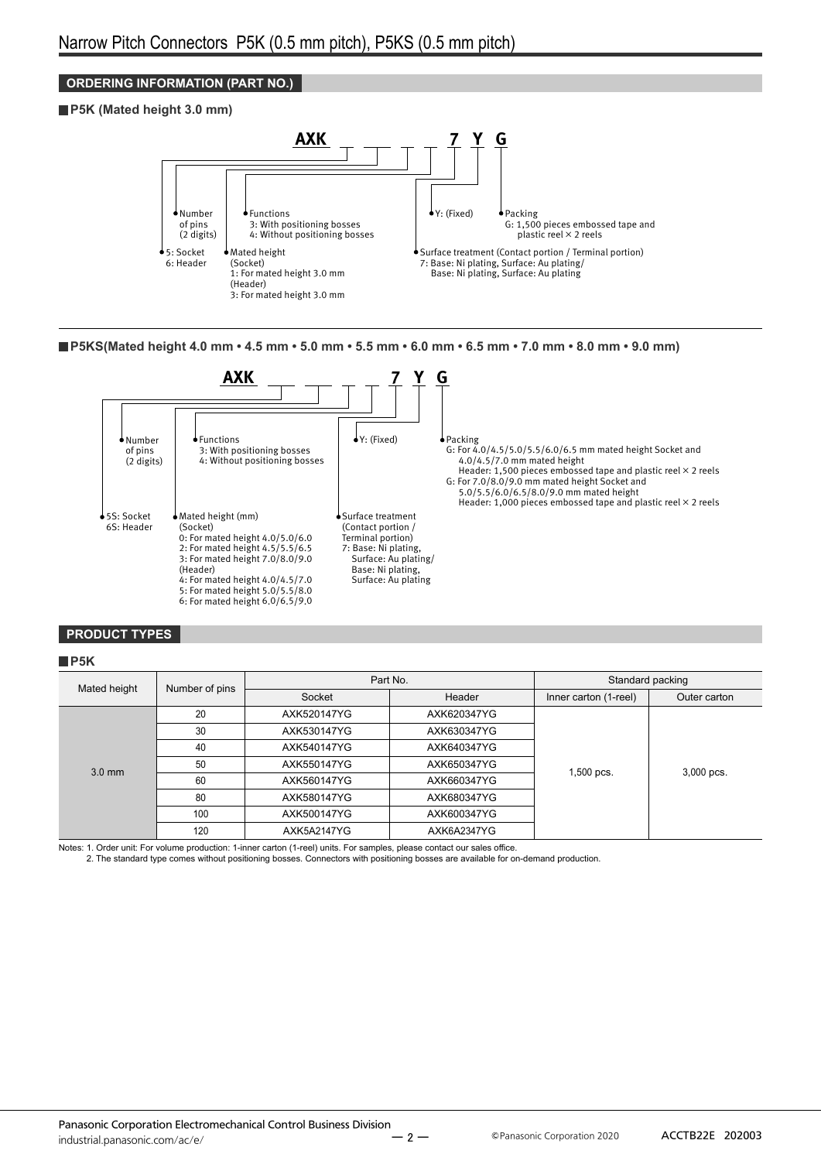#### **ORDERING INFORMATION (PART NO.)**

#### **P5K (Mated height 3.0 mm)**



**P5KS(Mated height 4.0 mm • 4.5 mm • 5.0 mm • 5.5 mm • 6.0 mm • 6.5 mm • 7.0 mm • 8.0 mm • 9.0 mm)**



#### **PRODUCT TYPES**

#### **P5K**

|              | Number of pins                                                                     | Part No.    |             |                       | Standard packing |
|--------------|------------------------------------------------------------------------------------|-------------|-------------|-----------------------|------------------|
| Mated height |                                                                                    | Socket      | Header      | Inner carton (1-reel) | Outer carton     |
|              | 20                                                                                 | AXK520147YG | AXK620347YG |                       |                  |
|              | 30                                                                                 | AXK530147YG | AXK630347YG |                       |                  |
|              | 40<br>AXK540147YG<br>AXK640347YG<br>50<br>AXK550147YG<br>AXK650347YG<br>1,500 pcs. |             |             |                       |                  |
| $3.0$ mm     |                                                                                    | 3,000 pcs.  |             |                       |                  |
|              | 60                                                                                 | AXK560147YG | AXK660347YG |                       |                  |
|              | 80                                                                                 | AXK580147YG | AXK680347YG |                       |                  |
|              | 100                                                                                | AXK500147YG | AXK600347YG |                       |                  |
|              | 120                                                                                | AXK5A2147YG | AXK6A2347YG |                       |                  |

Notes: 1. Order unit: For volume production: 1-inner carton (1-reel) units. For samples, please contact our sales office.

2. The standard type comes without positioning bosses. Connectors with positioning bosses are available for on-demand production.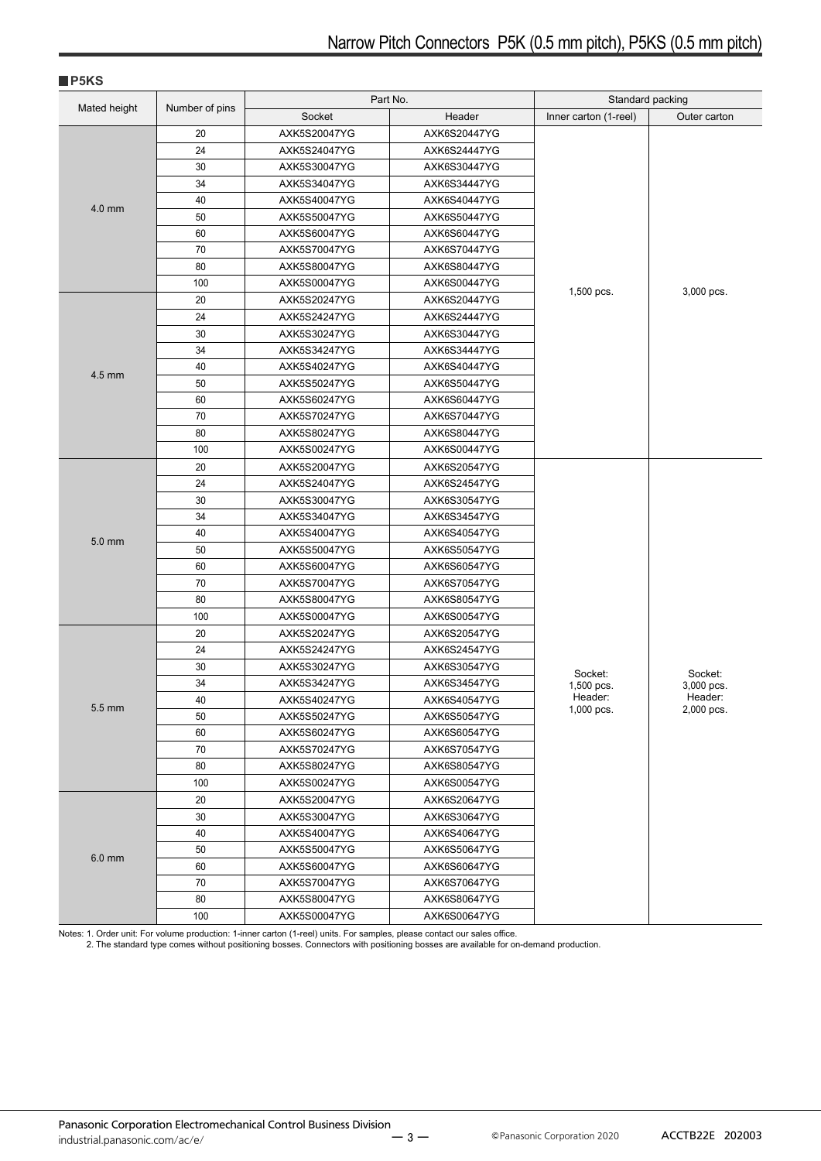|              |                | Part No.     |              | Standard packing      |                       |
|--------------|----------------|--------------|--------------|-----------------------|-----------------------|
| Mated height | Number of pins | Socket       | Header       | Inner carton (1-reel) | Outer carton          |
|              | 20             | AXK5S20047YG | AXK6S20447YG |                       |                       |
|              | 24             | AXK5S24047YG | AXK6S24447YG |                       |                       |
|              | 30             | AXK5S30047YG | AXK6S30447YG |                       |                       |
|              | 34             | AXK5S34047YG | AXK6S34447YG |                       |                       |
|              | 40             | AXK5S40047YG | AXK6S40447YG |                       |                       |
| 4.0 mm       | 50             | AXK5S50047YG | AXK6S50447YG |                       |                       |
|              | 60             | AXK5S60047YG | AXK6S60447YG |                       |                       |
|              | 70             | AXK5S70047YG | AXK6S70447YG |                       |                       |
|              | 80             | AXK5S80047YG | AXK6S80447YG |                       |                       |
|              | 100            | AXK5S00047YG | AXK6S00447YG | 1,500 pcs.            | 3,000 pcs.            |
|              | 20             | AXK5S20247YG | AXK6S20447YG |                       |                       |
|              | 24             | AXK5S24247YG | AXK6S24447YG |                       |                       |
|              | 30             | AXK5S30247YG | AXK6S30447YG |                       |                       |
|              | 34             | AXK5S34247YG | AXK6S34447YG |                       |                       |
| 4.5 mm       | 40             | AXK5S40247YG | AXK6S40447YG |                       |                       |
|              | 50             | AXK5S50247YG | AXK6S50447YG |                       |                       |
|              | 60             | AXK5S60247YG | AXK6S60447YG |                       |                       |
|              | 70             | AXK5S70247YG | AXK6S70447YG |                       |                       |
|              | 80             | AXK5S80247YG | AXK6S80447YG |                       |                       |
|              | 100            | AXK5S00247YG | AXK6S00447YG |                       |                       |
|              | 20             | AXK5S20047YG | AXK6S20547YG |                       |                       |
|              | 24             | AXK5S24047YG | AXK6S24547YG |                       |                       |
|              | 30             | AXK5S30047YG | AXK6S30547YG |                       |                       |
|              | 34             | AXK5S34047YG | AXK6S34547YG |                       |                       |
| 5.0 mm       | 40             | AXK5S40047YG | AXK6S40547YG |                       |                       |
|              | 50             | AXK5S50047YG | AXK6S50547YG |                       |                       |
|              | 60             | AXK5S60047YG | AXK6S60547YG |                       |                       |
|              | 70             | AXK5S70047YG | AXK6S70547YG |                       |                       |
|              | 80             | AXK5S80047YG | AXK6S80547YG |                       |                       |
|              | 100            | AXK5S00047YG | AXK6S00547YG |                       |                       |
|              | 20             | AXK5S20247YG | AXK6S20547YG |                       |                       |
|              | 24             | AXK5S24247YG | AXK6S24547YG |                       |                       |
|              | 30             | AXK5S30247YG | AXK6S30547YG | Socket:               | Socket:               |
|              | 34             | AXK5S34247YG | AXK6S34547YG | 1,500 pcs.            | 3,000 pcs.            |
| 5.5 mm       | 40             | AXK5S40247YG | AXK6S40547YG | Header:<br>1,000 pcs. | Header:<br>2,000 pcs. |
|              | 50             | AXK5S50247YG | AXK6S50547YG |                       |                       |
|              | 60             | AXK5S60247YG | AXK6S60547YG |                       |                       |
|              | 70             | AXK5S70247YG | AXK6S70547YG |                       |                       |
|              | 80             | AXK5S80247YG | AXK6S80547YG |                       |                       |
|              | 100            | AXK5S00247YG | AXK6S00547YG |                       |                       |
|              | 20             | AXK5S20047YG | AXK6S20647YG |                       |                       |
|              | 30             | AXK5S30047YG | AXK6S30647YG |                       |                       |
|              | 40             | AXK5S40047YG | AXK6S40647YG |                       |                       |
| 6.0 mm       | 50             | AXK5S50047YG | AXK6S50647YG |                       |                       |
|              | 60             | AXK5S60047YG | AXK6S60647YG |                       |                       |
|              | 70             | AXK5S70047YG | AXK6S70647YG |                       |                       |
|              | 80             | AXK5S80047YG | AXK6S80647YG |                       |                       |
|              | 100            | AXK5S00047YG | AXK6S00647YG |                       |                       |

Notes: 1. Order unit: For volume production: 1-inner carton (1-reel) units. For samples, please contact our sales office.<br>2. The standard type comes without positioning bosses. Connectors with positioning bosses are availa

**P5KS**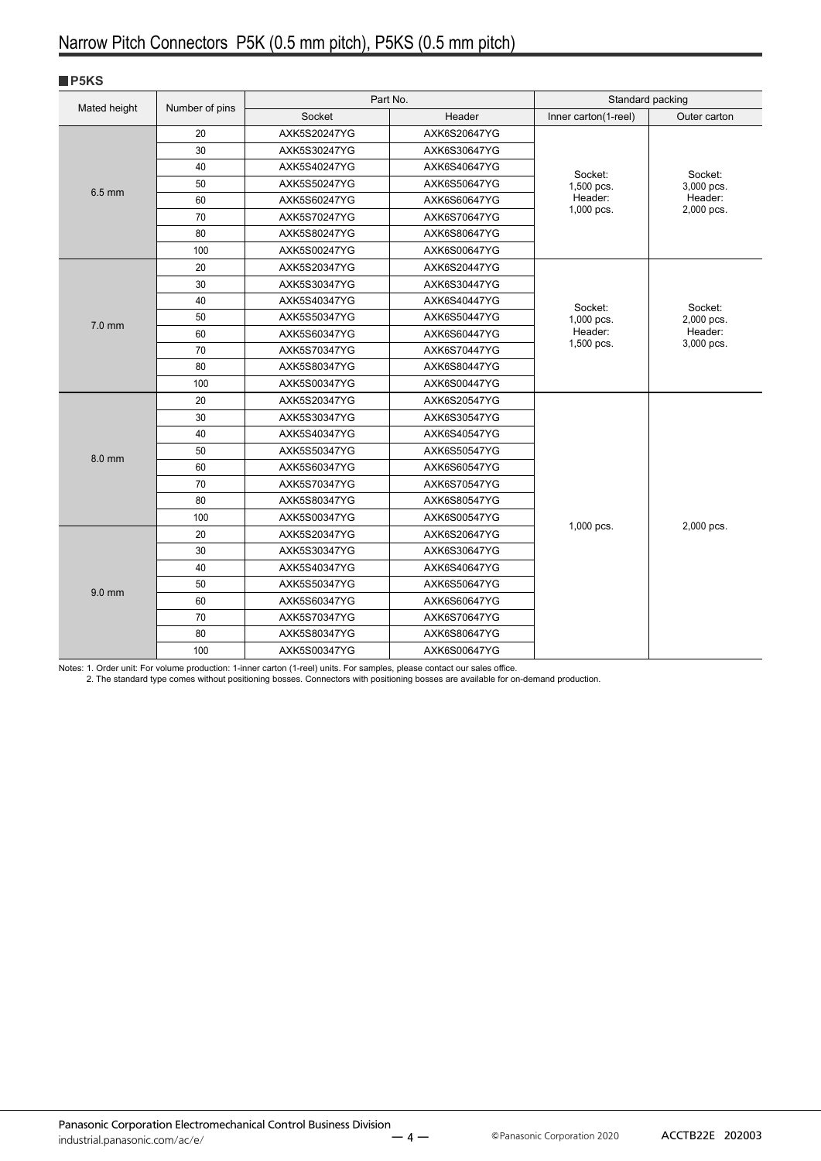#### **P5KS**

|              |                | Part No.                     |              | Standard packing     |                                                |
|--------------|----------------|------------------------------|--------------|----------------------|------------------------------------------------|
| Mated height | Number of pins | Socket                       | Header       | Inner carton(1-reel) | Outer carton                                   |
|              | 20             | AXK5S20247YG                 | AXK6S20647YG |                      |                                                |
|              | 30             | AXK5S30247YG                 | AXK6S30647YG |                      |                                                |
|              | 40             | AXK5S40247YG                 | AXK6S40647YG | Socket:              | Socket:                                        |
|              | 50             | AXK5S50247YG                 | AXK6S50647YG | 1,500 pcs.           | 3,000 pcs.                                     |
|              | $6.5$ mm<br>60 | AXK5S60247YG                 | AXK6S60647YG | Header:              | Header:                                        |
| 70<br>80     |                | AXK5S70247YG                 | AXK6S70647YG | 1,000 pcs.           | 2,000 pcs.                                     |
|              |                | AXK5S80247YG                 | AXK6S80647YG |                      |                                                |
|              | 100            | AXK5S00247YG                 | AXK6S00647YG |                      |                                                |
|              | 20             | AXK5S20347YG                 | AXK6S20447YG |                      |                                                |
|              | 30             | AXK5S30347YG                 | AXK6S30447YG |                      |                                                |
|              | 40             | AXK5S40347YG                 | AXK6S40447YG | Socket:              | Socket:<br>2,000 pcs.<br>Header:<br>3,000 pcs. |
| $7.0$ mm     | 50             | AXK5S50347YG                 | AXK6S50447YG | 1,000 pcs.           |                                                |
|              | 60             | AXK5S60347YG                 | AXK6S60447YG | Header:              |                                                |
|              | 70             | AXK5S70347YG                 | AXK6S70447YG | 1,500 pcs.           |                                                |
|              | 80             | AXK5S80347YG                 | AXK6S80447YG |                      |                                                |
|              | 100            | AXK5S00347YG                 | AXK6S00447YG |                      |                                                |
|              | 20             | AXK5S20347YG                 | AXK6S20547YG |                      |                                                |
|              | 30             | AXK5S30347YG                 | AXK6S30547YG |                      |                                                |
|              | 40             | AXK5S40347YG                 | AXK6S40547YG |                      |                                                |
| 8.0 mm       | 50             | AXK5S50347YG                 | AXK6S50547YG |                      |                                                |
|              | 60             | AXK5S60347YG                 | AXK6S60547YG |                      |                                                |
|              | 70             | AXK5S70347YG                 | AXK6S70547YG |                      |                                                |
|              | 80             | AXK5S80347YG<br>AXK6S80547YG |              |                      |                                                |
|              | 100            | AXK5S00347YG                 | AXK6S00547YG | 1,000 pcs.           | 2,000 pcs.                                     |
|              | 20             | AXK5S20347YG                 | AXK6S20647YG |                      |                                                |
|              | 30             | AXK5S30347YG                 | AXK6S30647YG |                      |                                                |
|              | 40             | AXK5S40347YG                 | AXK6S40647YG |                      |                                                |
| $9.0$ mm     | 50             | AXK5S50347YG                 | AXK6S50647YG |                      |                                                |
|              | 60             | AXK5S60347YG                 | AXK6S60647YG |                      |                                                |
|              | 70             | AXK5S70347YG                 | AXK6S70647YG |                      |                                                |
|              | 80             | AXK5S80347YG                 | AXK6S80647YG |                      |                                                |
|              | 100            | AXK5S00347YG                 | AXK6S00647YG |                      |                                                |

Notes: 1. Order unit: For volume production: 1-inner carton (1-reel) units. For samples, please contact our sales office.<br>2. The standard type comes without positioning bosses. Connectors with positioning bosses are availa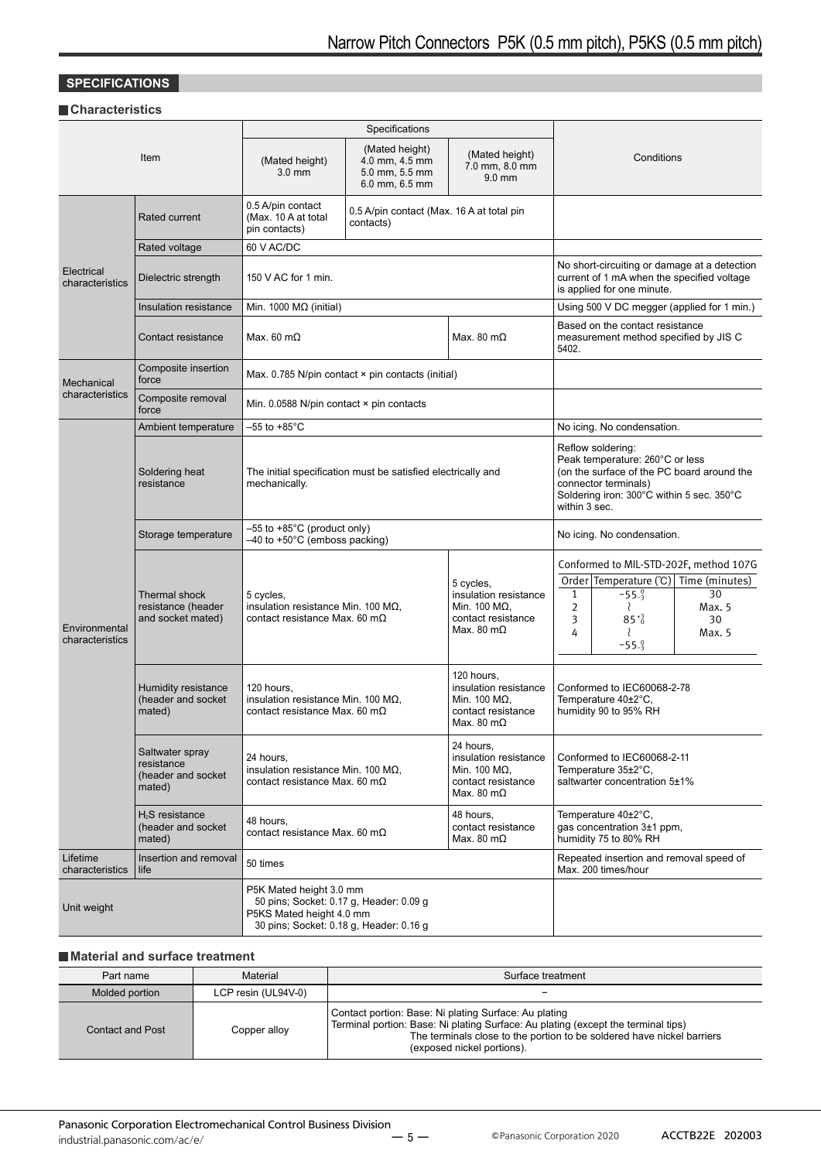### **SPECIFICATIONS**

#### **Characteristics**

|                                  |                                                                 | Specifications                                                                                                                                                                                                    |                                                                                                                                                                                                 |                                                                                                         |                                                                                                                                                                                                          |
|----------------------------------|-----------------------------------------------------------------|-------------------------------------------------------------------------------------------------------------------------------------------------------------------------------------------------------------------|-------------------------------------------------------------------------------------------------------------------------------------------------------------------------------------------------|---------------------------------------------------------------------------------------------------------|----------------------------------------------------------------------------------------------------------------------------------------------------------------------------------------------------------|
|                                  | Item                                                            | (Mated height)<br>$3.0$ mm                                                                                                                                                                                        | (Mated height)<br>(Mated height)<br>4.0 mm, 4.5 mm<br>7.0 mm, 8.0 mm<br>5.0 mm, 5.5 mm<br>$9.0$ mm<br>6.0 mm, 6.5 mm                                                                            |                                                                                                         | Conditions                                                                                                                                                                                               |
|                                  | <b>Rated current</b>                                            | 0.5 A/pin contact<br>(Max. 10 A at total<br>pin contacts)                                                                                                                                                         | 0.5 A/pin contact (Max. 16 A at total pin<br>contacts)                                                                                                                                          |                                                                                                         |                                                                                                                                                                                                          |
|                                  | Rated voltage                                                   | 60 V AC/DC                                                                                                                                                                                                        |                                                                                                                                                                                                 |                                                                                                         |                                                                                                                                                                                                          |
| Electrical<br>characteristics    | Dielectric strength                                             | 150 V AC for 1 min.                                                                                                                                                                                               |                                                                                                                                                                                                 |                                                                                                         | No short-circuiting or damage at a detection<br>current of 1 mA when the specified voltage<br>is applied for one minute.                                                                                 |
|                                  | Insulation resistance                                           | Min. 1000 $M\Omega$ (initial)                                                                                                                                                                                     |                                                                                                                                                                                                 |                                                                                                         | Using 500 V DC megger (applied for 1 min.)                                                                                                                                                               |
|                                  | Contact resistance                                              | Max. 60 $m\Omega$                                                                                                                                                                                                 |                                                                                                                                                                                                 | Max. 80 m $\Omega$                                                                                      | Based on the contact resistance<br>measurement method specified by JIS C<br>5402.                                                                                                                        |
| Mechanical                       | Composite insertion<br>force                                    |                                                                                                                                                                                                                   | Max. $0.785$ N/pin contact $\times$ pin contacts (initial)                                                                                                                                      |                                                                                                         |                                                                                                                                                                                                          |
| characteristics                  | Composite removal<br>force                                      | Min. $0.0588$ N/pin contact $\times$ pin contacts                                                                                                                                                                 |                                                                                                                                                                                                 |                                                                                                         |                                                                                                                                                                                                          |
|                                  | Ambient temperature                                             | $-55$ to $+85^{\circ}$ C                                                                                                                                                                                          |                                                                                                                                                                                                 |                                                                                                         | No icing. No condensation.                                                                                                                                                                               |
|                                  | Soldering heat<br>resistance                                    | The initial specification must be satisfied electrically and<br>mechanically.                                                                                                                                     |                                                                                                                                                                                                 |                                                                                                         | Reflow soldering:<br>Peak temperature: 260°C or less<br>(on the surface of the PC board around the<br>connector terminals)<br>Soldering iron: 300°C within 5 sec. 350°C<br>within 3 sec.                 |
|                                  | Storage temperature                                             | $-55$ to $+85^{\circ}$ C (product only)<br>-40 to +50°C (emboss packing)                                                                                                                                          |                                                                                                                                                                                                 | No icing. No condensation.                                                                              |                                                                                                                                                                                                          |
| Environmental<br>characteristics | <b>Thermal shock</b><br>resistance (header<br>and socket mated) | 5 cycles,<br>insulation resistance Min. 100 M $\Omega$ ,<br>contact resistance Max. 60 m $\Omega$                                                                                                                 |                                                                                                                                                                                                 | 5 cycles,<br>insulation resistance<br>Min. 100 M $\Omega$ .<br>contact resistance<br>Max. 80 m $\Omega$ | Conformed to MIL-STD-202F, method 107G<br>Order Temperature (°C) Time (minutes)<br>$-55.9$<br>30<br>$\mathbf{1}$<br>$\overline{2}$<br>Max. 5<br>₹<br>3<br>$85^{+3}$<br>30<br>Max. 5<br>4<br>₹<br>$-55.9$ |
|                                  | Humidity resistance<br>(header and socket<br>mated)             | 120 hours,                                                                                                                                                                                                        | 120 hours,<br>insulation resistance<br>insulation resistance Min. 100 M $\Omega$ ,<br>Min. 100 $M\Omega$ ,<br>contact resistance Max. 60 m $\Omega$<br>contact resistance<br>Max. 80 m $\Omega$ |                                                                                                         | Conformed to IEC60068-2-78<br>Temperature 40±2°C,<br>humidity 90 to 95% RH                                                                                                                               |
|                                  | Saltwater spray<br>resistance<br>(header and socket<br>mated)   | 24 hours,<br>insulation resistance<br>24 hours,<br>insulation resistance Min. 100 $\text{M}\Omega$ .<br>Min. 100 $M\Omega$ ,<br>contact resistance Max. 60 m $\Omega$<br>contact resistance<br>Max. 80 m $\Omega$ |                                                                                                                                                                                                 | Conformed to IEC60068-2-11<br>Temperature 35±2°C,<br>saltwarter concentration 5±1%                      |                                                                                                                                                                                                          |
|                                  | H <sub>2</sub> S resistance<br>(header and socket<br>mated)     | 48 hours.<br>contact resistance Max. 60 m $\Omega$                                                                                                                                                                |                                                                                                                                                                                                 | 48 hours,<br>contact resistance<br>Max. 80 m $\Omega$                                                   | Temperature 40±2°C,<br>gas concentration 3±1 ppm,<br>humidity 75 to 80% RH                                                                                                                               |
| Lifetime<br>characteristics      | Insertion and removal<br>life                                   | 50 times                                                                                                                                                                                                          |                                                                                                                                                                                                 |                                                                                                         | Repeated insertion and removal speed of<br>Max. 200 times/hour                                                                                                                                           |
| Unit weight                      |                                                                 | P5K Mated height 3.0 mm<br>50 pins; Socket: 0.17 g, Header: 0.09 g<br>P5KS Mated height 4.0 mm<br>30 pins; Socket: 0.18 g, Header: 0.16 g                                                                         |                                                                                                                                                                                                 |                                                                                                         |                                                                                                                                                                                                          |

#### **Material and surface treatment**

| Part name               | Material            | Surface treatment                                                                                                                                                                                                                                  |  |
|-------------------------|---------------------|----------------------------------------------------------------------------------------------------------------------------------------------------------------------------------------------------------------------------------------------------|--|
| Molded portion          | LCP resin (UL94V-0) |                                                                                                                                                                                                                                                    |  |
| <b>Contact and Post</b> | Copper alloy        | Contact portion: Base: Ni plating Surface: Au plating<br>Terminal portion: Base: Ni plating Surface: Au plating (except the terminal tips)<br>The terminals close to the portion to be soldered have nickel barriers<br>(exposed nickel portions). |  |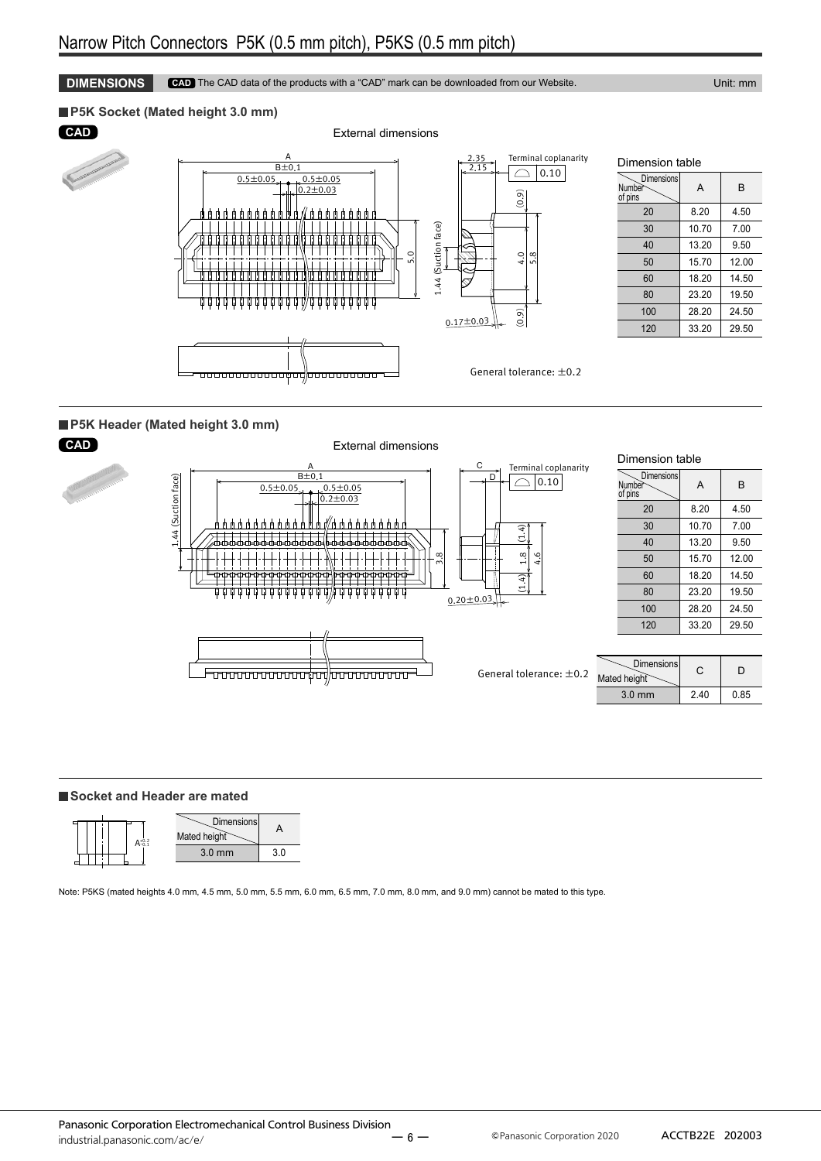**DIMENSIONS CAD** The CAD data of the products with a "CAD" mark can be downloaded from our Website. Unit: mm

#### **P5K Socket (Mated height 3.0 mm)**







#### Dimension table **Dimensions** Number of pins  $\Delta$ 20 8.20 4.50 30 10.70 7.00 40 | 13.20 | 9.50 50 15.70 12.00 60 18.20 14.50 80 23.20 19.50

#### **P5K Header (Mated height 3.0 mm)**



#### **Socket and Header are mated**



Note: P5KS (mated heights 4.0 mm, 4.5 mm, 5.0 mm, 5.5 mm, 6.0 mm, 6.5 mm, 7.0 mm, 8.0 mm, and 9.0 mm) cannot be mated to this type.

| of pins |       |       |
|---------|-------|-------|
| 20      | 8.20  | 4.50  |
| 30      | 10.70 | 7.00  |
| 40      | 13.20 | 9.50  |
| 50      | 15.70 | 12.00 |
| 60      | 18.20 | 14.50 |
| 80      | 23.20 | 19.50 |
| 100     | 28.20 | 24.50 |
| 120     | 33.20 | 29.50 |
|         |       |       |

Panasonic Corporation Electromechanical Control Business Division  $\frac{1}{2}$  industrial.panasonic.com/ac/e/  $-6$   $-$  © Panasonic Corporation 2020 ACCTB22E 202003 ー 6 ー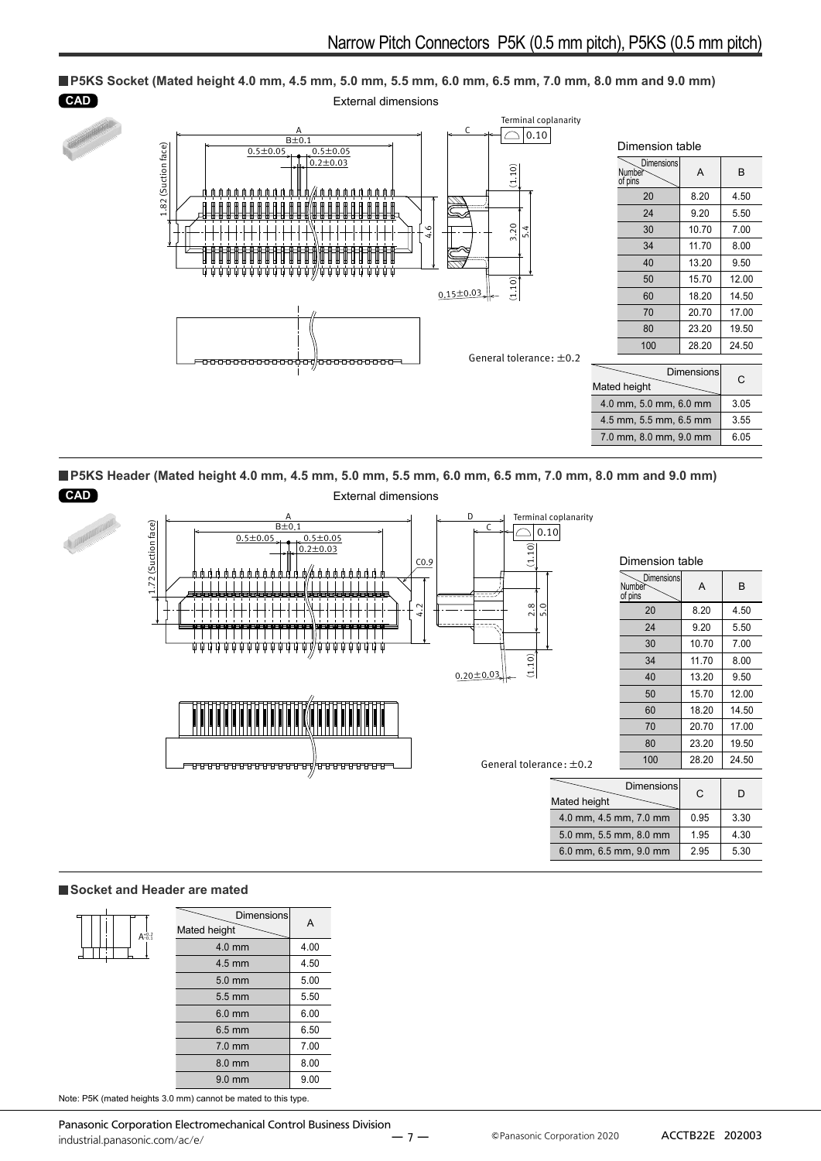

**P5KS Header (Mated height 4.0 mm, 4.5 mm, 5.0 mm, 5.5 mm, 6.0 mm, 6.5 mm, 7.0 mm, 8.0 mm and 9.0 mm)**



#### **Socket and Header are mated**

| $A^{+0.2}_{-0.1}$ | <b>Dimensions</b><br>Mated height | А    |
|-------------------|-----------------------------------|------|
|                   | 4.0 mm                            | 4.00 |
|                   | $4.5$ mm                          | 4.50 |
|                   | $5.0 \text{ mm}$                  | 5.00 |
|                   | $5.5 \text{ mm}$                  | 5.50 |
|                   | $6.0$ mm                          | 6.00 |
|                   | $6.5 \text{ mm}$                  | 6.50 |
|                   | $7.0$ mm                          | 7.00 |
|                   | 8.0 mm                            | 8.00 |
|                   | $9.0 \text{ mm}$                  | 9.00 |

Note: P5K (mated heights 3.0 mm) cannot be mated to this type.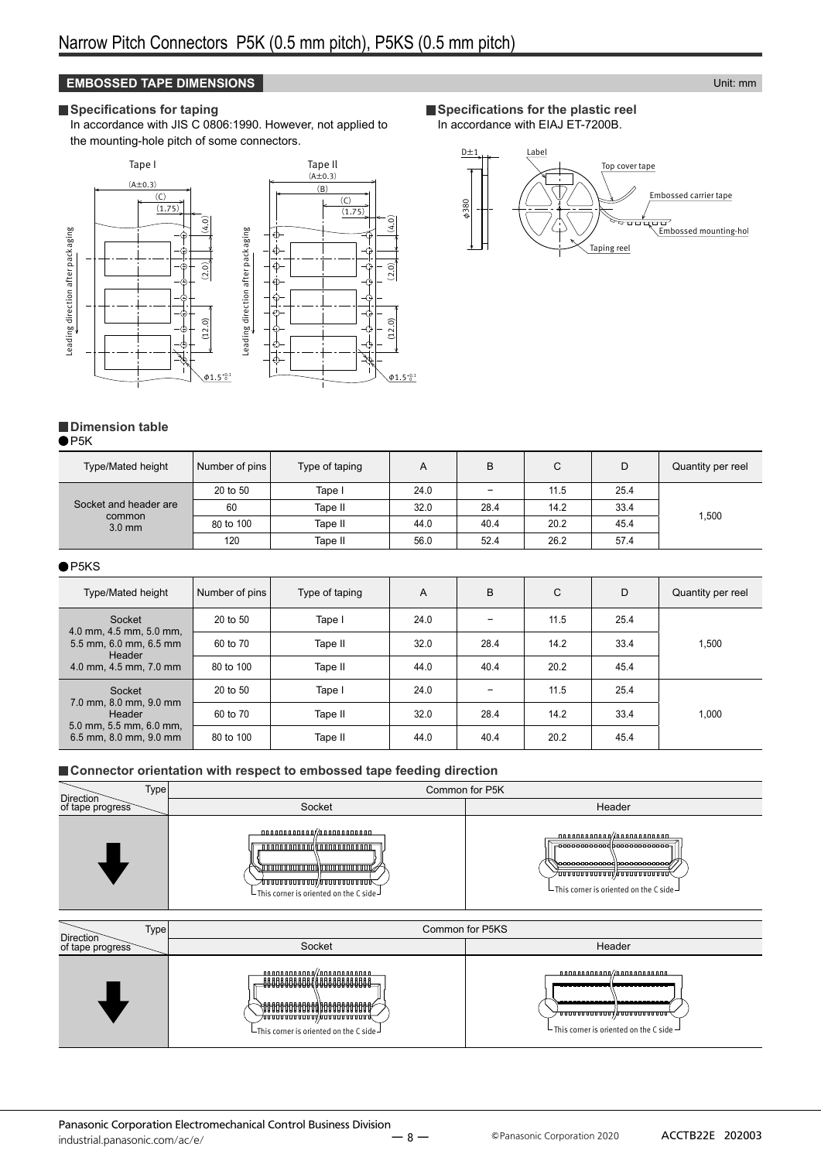#### **EMBOSSED TAPE DIMENSIONS Unit:** mm

#### **Specifications for taping**

In accordance with JIS C 0806:1990. However, not applied to the mounting-hole pitch of some connectors.



**Specifications for the plastic reel** In accordance with EIAJ ET-7200B.



### **Dimension table**

 $\bullet$ P5K

| <b>Type/Mated height</b> | Number of pins | Type of taping | A    | B    | C    | D    | Quantity per reel |
|--------------------------|----------------|----------------|------|------|------|------|-------------------|
|                          | 20 to 50       | Tape I         | 24.0 | -    | 11.5 | 25.4 |                   |
| Socket and header are    | 60             | Tape II        | 32.0 | 28.4 | 14.2 | 33.4 | 1,500             |
| common<br>$3.0$ mm       | 80 to 100      | Tape II        | 44.0 | 40.4 | 20.2 | 45.4 |                   |
|                          | 120            | Tape II        | 56.0 | 52.4 | 26.2 | 57.4 |                   |

#### $\bullet$ P5KS

| <b>Type/Mated height</b>                                | Number of pins | Type of taping | A    | B    | С    | D    | Quantity per reel |
|---------------------------------------------------------|----------------|----------------|------|------|------|------|-------------------|
| Socket<br>4.0 mm, 4.5 mm, 5.0 mm,                       | 20 to 50       | Tape I         | 24.0 |      | 11.5 | 25.4 |                   |
| 5.5 mm, 6.0 mm, 6.5 mm<br>Header                        | 60 to 70       | Tape II        | 32.0 | 28.4 | 14.2 | 33.4 | 1,500             |
| 4.0 mm, 4.5 mm, 7.0 mm                                  | 80 to 100      | Tape II        | 44.0 | 40.4 | 20.2 | 45.4 |                   |
| Socket<br>7.0 mm, 8.0 mm, 9.0 mm                        | $20$ to $50$   | Tape I         | 24.0 |      | 11.5 | 25.4 |                   |
| Header                                                  | 60 to 70       | Tape II        | 32.0 | 28.4 | 14.2 | 33.4 | 1,000             |
| $5.0$ mm, $5.5$ mm, $6.0$ mm,<br>6.5 mm, 8.0 mm, 9.0 mm | 80 to 100      | Tape II        | 44.0 | 40.4 | 20.2 | 45.4 |                   |

#### **Connector orientation with respect to embossed tape feeding direction**

| Type<br>Direction |                                                                                                                                                             | Common for P5K                                                                                                                                                        |
|-------------------|-------------------------------------------------------------------------------------------------------------------------------------------------------------|-----------------------------------------------------------------------------------------------------------------------------------------------------------------------|
| of tape progress  | Socket                                                                                                                                                      | Header                                                                                                                                                                |
|                   | 000000000000/000000000000<br><b>╱</b> □□□□□□□□□□□□□/□□□□□□□□□□□□□□<br>$\mathrel{\sqcup}$ This corner is oriented on the C side $\mathrel{\mathrel{\sqcup}}$ | nnnnnnnnnnn//nnnnnnnnnnn<br>-00000000000000000000000000<br>\\oooooooooood booooooooooo<br>70000000000000000000000000<br>$-$ This corner is oriented on the C side $-$ |

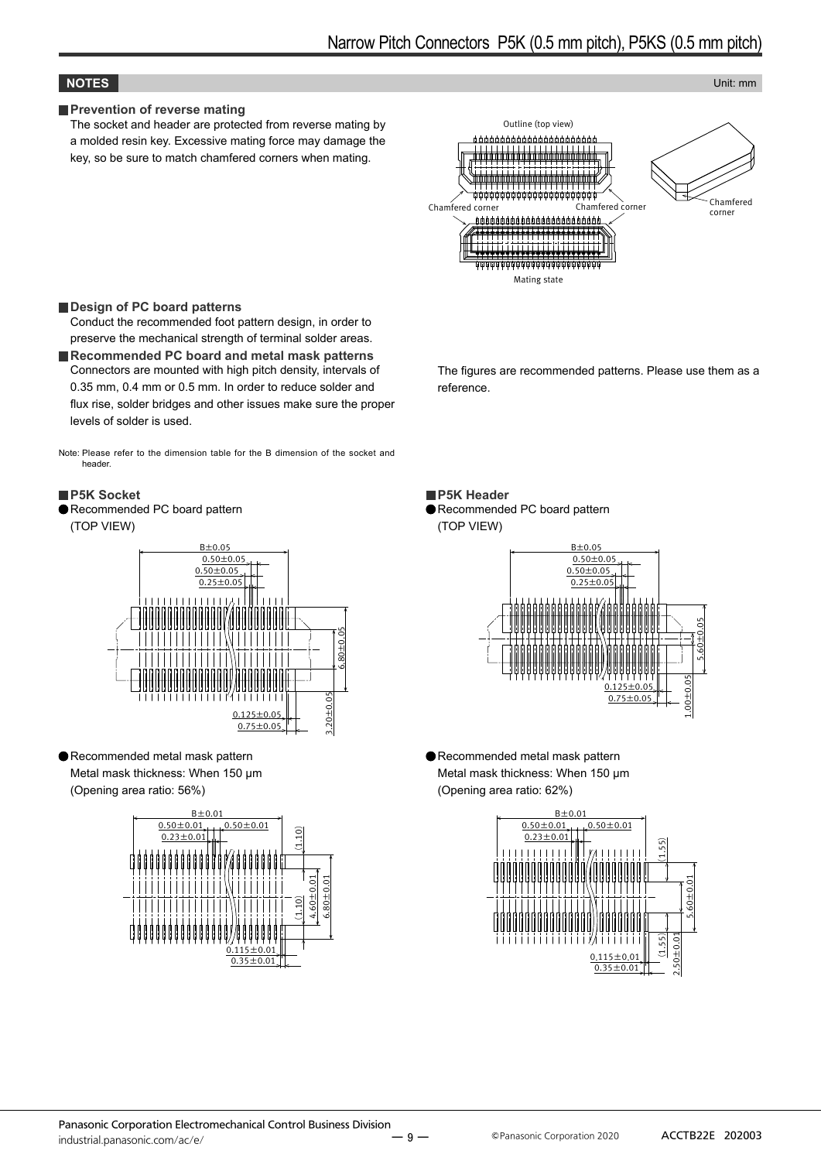#### **NOTES** Unit: mm

#### **Prevention of reverse mating**

The socket and header are protected from reverse mating by a molded resin key. Excessive mating force may damage the key, so be sure to match chamfered corners when mating.



#### **Design of PC board patterns**

Conduct the recommended foot pattern design, in order to preserve the mechanical strength of terminal solder areas.

■Recommended PC board and metal mask patterns Connectors are mounted with high pitch density, intervals of 0.35 mm, 0.4 mm or 0.5 mm. In order to reduce solder and flux rise, solder bridges and other issues make sure the proper levels of solder is used.

Note: Please refer to the dimension table for the B dimension of the socket and header.

#### **P5K Socket**

Recommended PC board pattern (TOP VIEW)



Recommended metal mask pattern Metal mask thickness: When 150 μm (Opening area ratio: 56%)



The figures are recommended patterns. Please use them as a reference.

**P5K Header** 

Recommended PC board pattern (TOP VIEW)



Recommended metal mask pattern Metal mask thickness: When 150 μm (Opening area ratio: 62%)



ー 9 ー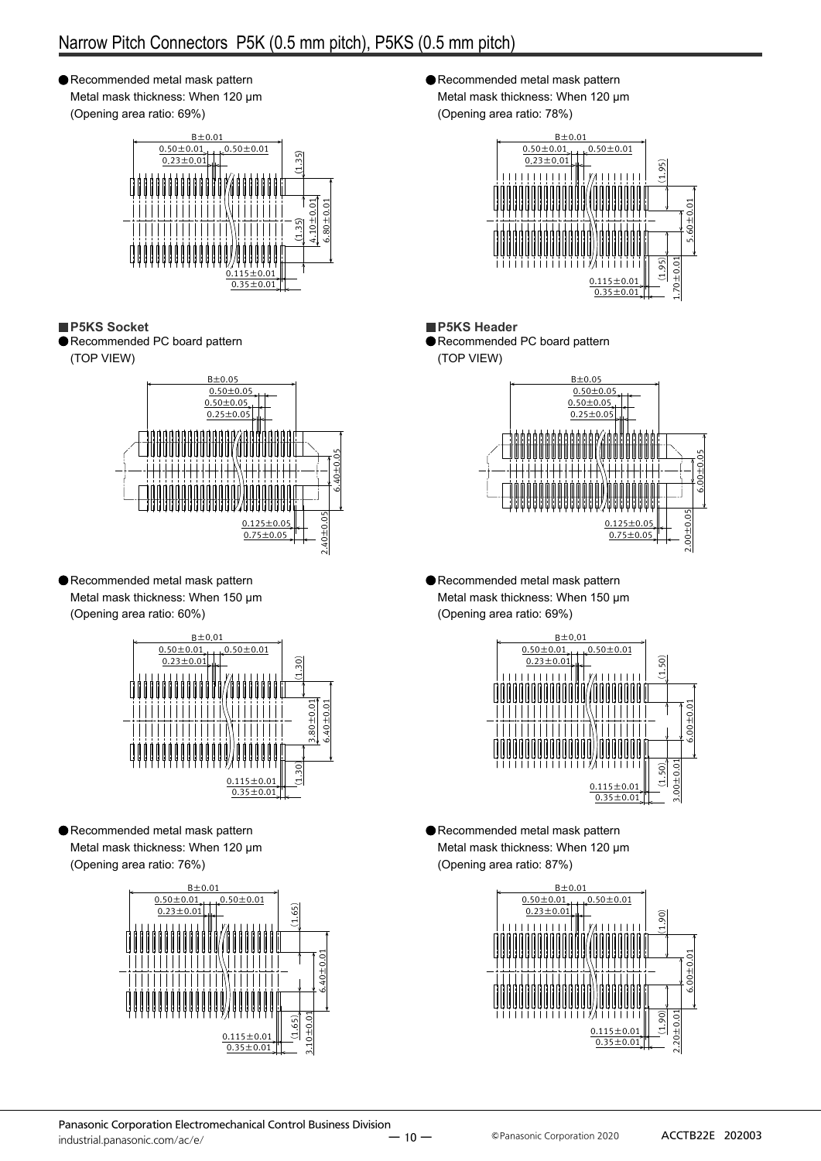## Narrow Pitch Connectors P5K (0.5 mm pitch), P5KS (0.5 mm pitch)

Recommended metal mask pattern Metal mask thickness: When 120 μm (Opening area ratio: 69%)



**P5KS Socket**

Recommended PC board pattern (TOP VIEW)



Recommended metal mask pattern Metal mask thickness: When 150 μm (Opening area ratio: 60%)



Recommended metal mask pattern Metal mask thickness: When 120 μm (Opening area ratio: 76%)



Recommended metal mask pattern Metal mask thickness: When 120 μm (Opening area ratio: 78%)



**P5KS Header** Recommended PC board pattern

(TOP VIEW)



Recommended metal mask pattern Metal mask thickness: When 150 μm (Opening area ratio: 69%)



Recommended metal mask pattern Metal mask thickness: When 120 μm (Opening area ratio: 87%)

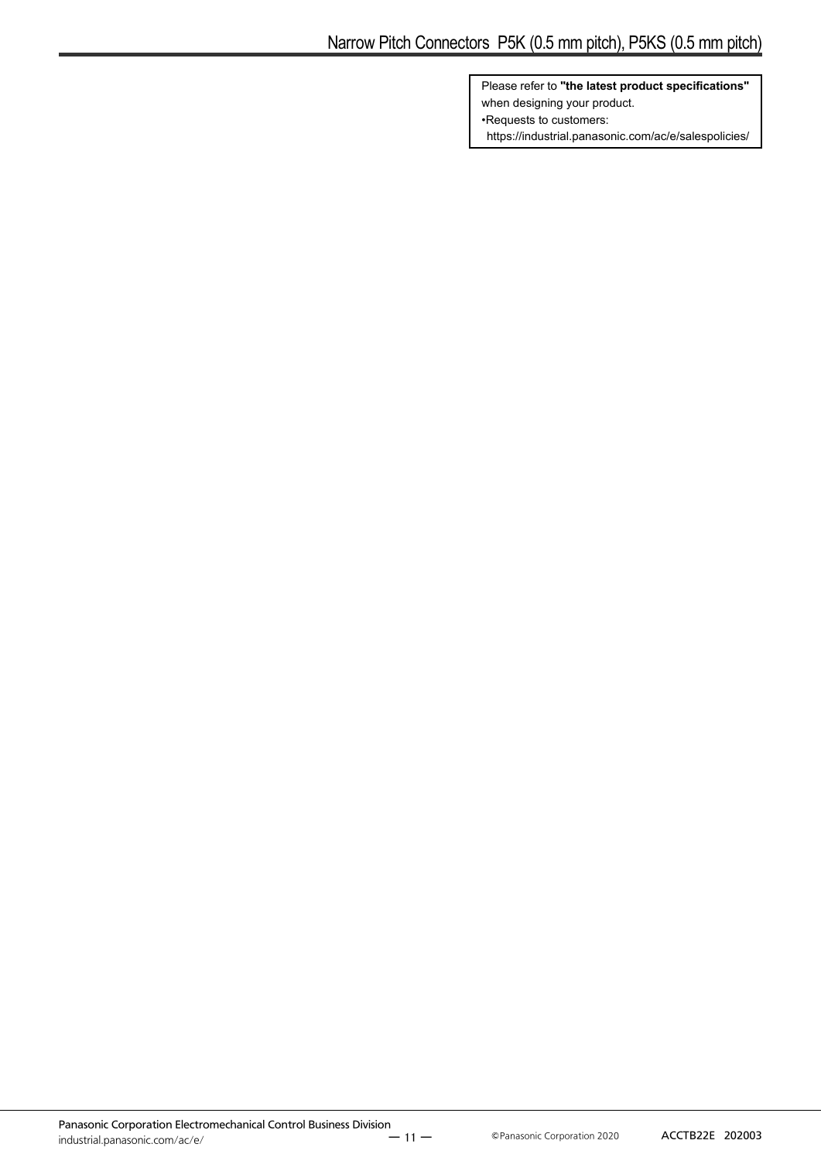Please refer to **"the latest product specifications"** when designing your product. •Requests to customers: https://industrial.panasonic.com/ac/e/salespolicies/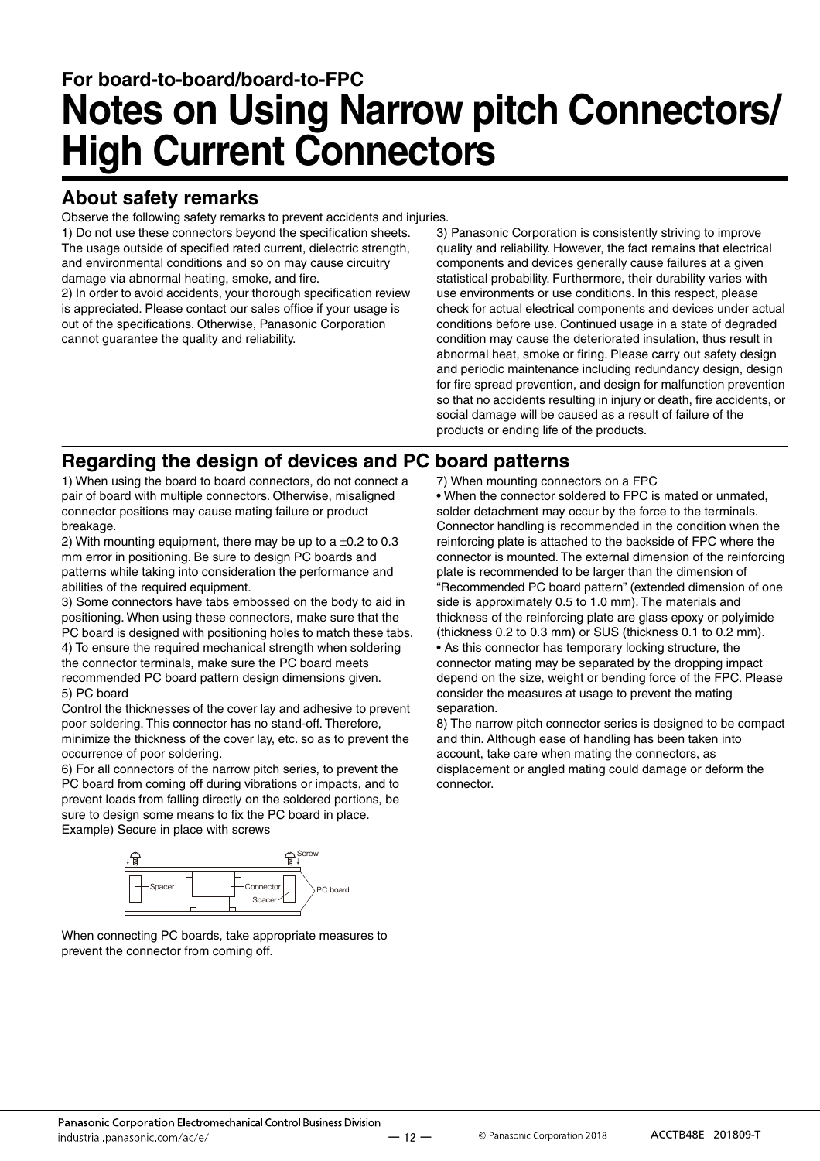# **For board-to-board/board-to-FPC Notes on Using Narrow pitch Connectors/ High Current Connectors**

## **About safety remarks**

Observe the following safety remarks to prevent accidents and injuries.

1) Do not use these connectors beyond the specification sheets. The usage outside of specified rated current, dielectric strength, and environmental conditions and so on may cause circuitry damage via abnormal heating, smoke, and fire.

2) In order to avoid accidents, your thorough specification review is appreciated. Please contact our sales office if your usage is out of the specifications. Otherwise, Panasonic Corporation cannot guarantee the quality and reliability.

3) Panasonic Corporation is consistently striving to improve quality and reliability. However, the fact remains that electrical components and devices generally cause failures at a given statistical probability. Furthermore, their durability varies with use environments or use conditions. In this respect, please check for actual electrical components and devices under actual conditions before use. Continued usage in a state of degraded condition may cause the deteriorated insulation, thus result in abnormal heat, smoke or firing. Please carry out safety design and periodic maintenance including redundancy design, design for fire spread prevention, and design for malfunction prevention so that no accidents resulting in injury or death, fire accidents, or social damage will be caused as a result of failure of the products or ending life of the products.

## **Regarding the design of devices and PC board patterns**

1) When using the board to board connectors, do not connect a pair of board with multiple connectors. Otherwise, misaligned connector positions may cause mating failure or product breakage.

2) With mounting equipment, there may be up to a  $\pm 0.2$  to 0.3 mm error in positioning. Be sure to design PC boards and patterns while taking into consideration the performance and abilities of the required equipment.

3) Some connectors have tabs embossed on the body to aid in positioning. When using these connectors, make sure that the PC board is designed with positioning holes to match these tabs. 4) To ensure the required mechanical strength when soldering the connector terminals, make sure the PC board meets recommended PC board pattern design dimensions given. 5) PC board

Control the thicknesses of the cover lay and adhesive to prevent poor soldering. This connector has no stand-off. Therefore, minimize the thickness of the cover lay, etc. so as to prevent the occurrence of poor soldering.

6) For all connectors of the narrow pitch series, to prevent the PC board from coming off during vibrations or impacts, and to prevent loads from falling directly on the soldered portions, be sure to design some means to fix the PC board in place. Example) Secure in place with screws



When connecting PC boards, take appropriate measures to prevent the connector from coming off.

7) When mounting connectors on a FPC

• When the connector soldered to FPC is mated or unmated, solder detachment may occur by the force to the terminals. Connector handling is recommended in the condition when the reinforcing plate is attached to the backside of FPC where the connector is mounted. The external dimension of the reinforcing plate is recommended to be larger than the dimension of "Recommended PC board pattern" (extended dimension of one side is approximately 0.5 to 1.0 mm). The materials and thickness of the reinforcing plate are glass epoxy or polyimide (thickness 0.2 to 0.3 mm) or SUS (thickness 0.1 to 0.2 mm).

• As this connector has temporary locking structure, the connector mating may be separated by the dropping impact depend on the size, weight or bending force of the FPC. Please consider the measures at usage to prevent the mating separation.

8) The narrow pitch connector series is designed to be compact and thin. Although ease of handling has been taken into account, take care when mating the connectors, as displacement or angled mating could damage or deform the connector.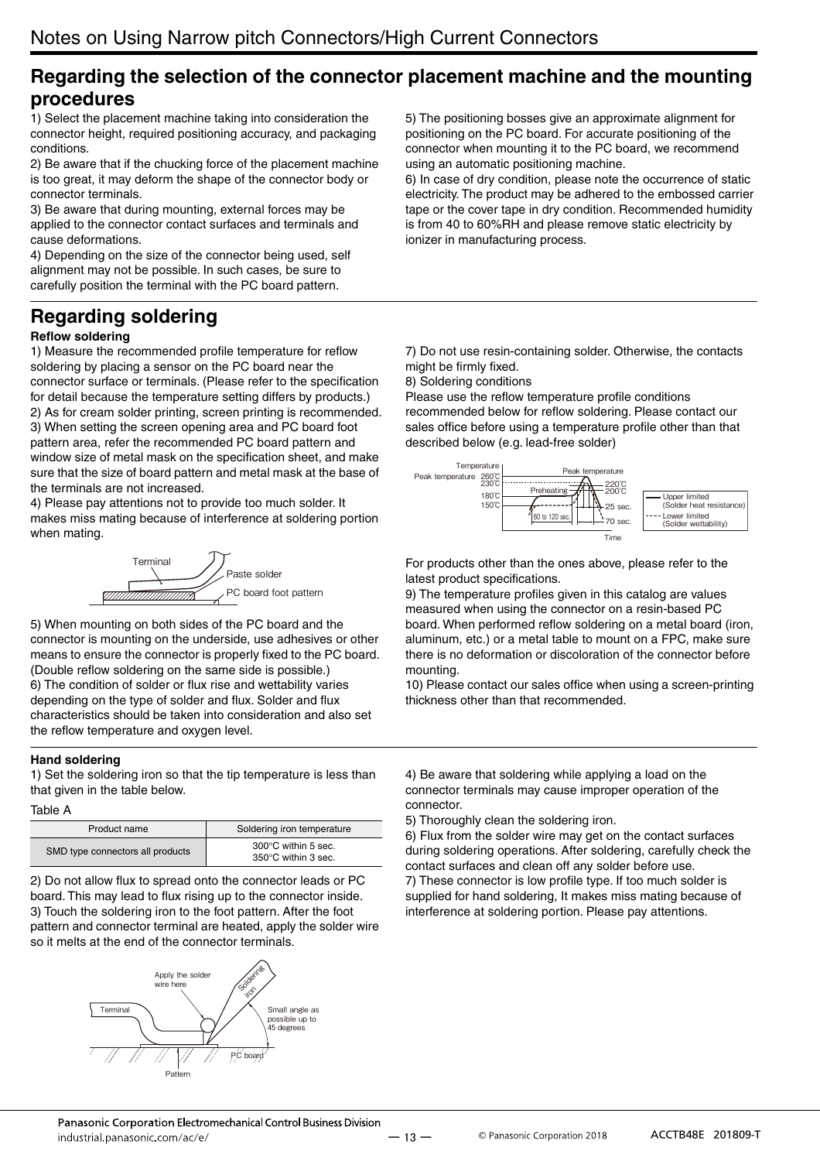## **Regarding the selection of the connector placement machine and the mounting procedures**

1) Select the placement machine taking into consideration the connector height, required positioning accuracy, and packaging conditions.

2) Be aware that if the chucking force of the placement machine is too great, it may deform the shape of the connector body or connector terminals.

3) Be aware that during mounting, external forces may be applied to the connector contact surfaces and terminals and cause deformations.

4) Depending on the size of the connector being used, self alignment may not be possible. In such cases, be sure to carefully position the terminal with the PC board pattern.

## **Regarding soldering**

#### **Reflow soldering**

1) Measure the recommended profile temperature for reflow soldering by placing a sensor on the PC board near the connector surface or terminals. (Please refer to the specification for detail because the temperature setting differs by products.) 2) As for cream solder printing, screen printing is recommended. 3) When setting the screen opening area and PC board foot pattern area, refer the recommended PC board pattern and window size of metal mask on the specification sheet, and make sure that the size of board pattern and metal mask at the base of the terminals are not increased.

4) Please pay attentions not to provide too much solder. It makes miss mating because of interference at soldering portion when mating.



5) When mounting on both sides of the PC board and the connector is mounting on the underside, use adhesives or other means to ensure the connector is properly fixed to the PC board. (Double reflow soldering on the same side is possible.) 6) The condition of solder or flux rise and wettability varies depending on the type of solder and flux. Solder and flux characteristics should be taken into consideration and also set the reflow temperature and oxygen level.

#### **Hand soldering**

1) Set the soldering iron so that the tip temperature is less than that given in the table below.

#### Table A

| Product name                     | Soldering iron temperature                           |
|----------------------------------|------------------------------------------------------|
| SMD type connectors all products | $300^{\circ}$ C within 5 sec.<br>350°C within 3 sec. |

2) Do not allow flux to spread onto the connector leads or PC board. This may lead to flux rising up to the connector inside. 3) Touch the soldering iron to the foot pattern. After the foot pattern and connector terminal are heated, apply the solder wire so it melts at the end of the connector terminals.



5) The positioning bosses give an approximate alignment for positioning on the PC board. For accurate positioning of the connector when mounting it to the PC board, we recommend using an automatic positioning machine.

6) In case of dry condition, please note the occurrence of static electricity. The product may be adhered to the embossed carrier tape or the cover tape in dry condition. Recommended humidity is from 40 to 60%RH and please remove static electricity by ionizer in manufacturing process.

7) Do not use resin-containing solder. Otherwise, the contacts might be firmly fixed.

8) Soldering conditions

Please use the reflow temperature profile conditions recommended below for reflow soldering. Please contact our sales office before using a temperature profile other than that described below (e.g. lead-free solder)



For products other than the ones above, please refer to the latest product specifications.

9) The temperature profiles given in this catalog are values measured when using the connector on a resin-based PC board. When performed reflow soldering on a metal board (iron, aluminum, etc.) or a metal table to mount on a FPC, make sure there is no deformation or discoloration of the connector before mounting.

10) Please contact our sales office when using a screen-printing thickness other than that recommended.

4) Be aware that soldering while applying a load on the connector terminals may cause improper operation of the connector.

5) Thoroughly clean the soldering iron.

6) Flux from the solder wire may get on the contact surfaces during soldering operations. After soldering, carefully check the contact surfaces and clean off any solder before use. 7) These connector is low profile type. If too much solder is

supplied for hand soldering, It makes miss mating because of interference at soldering portion. Please pay attentions.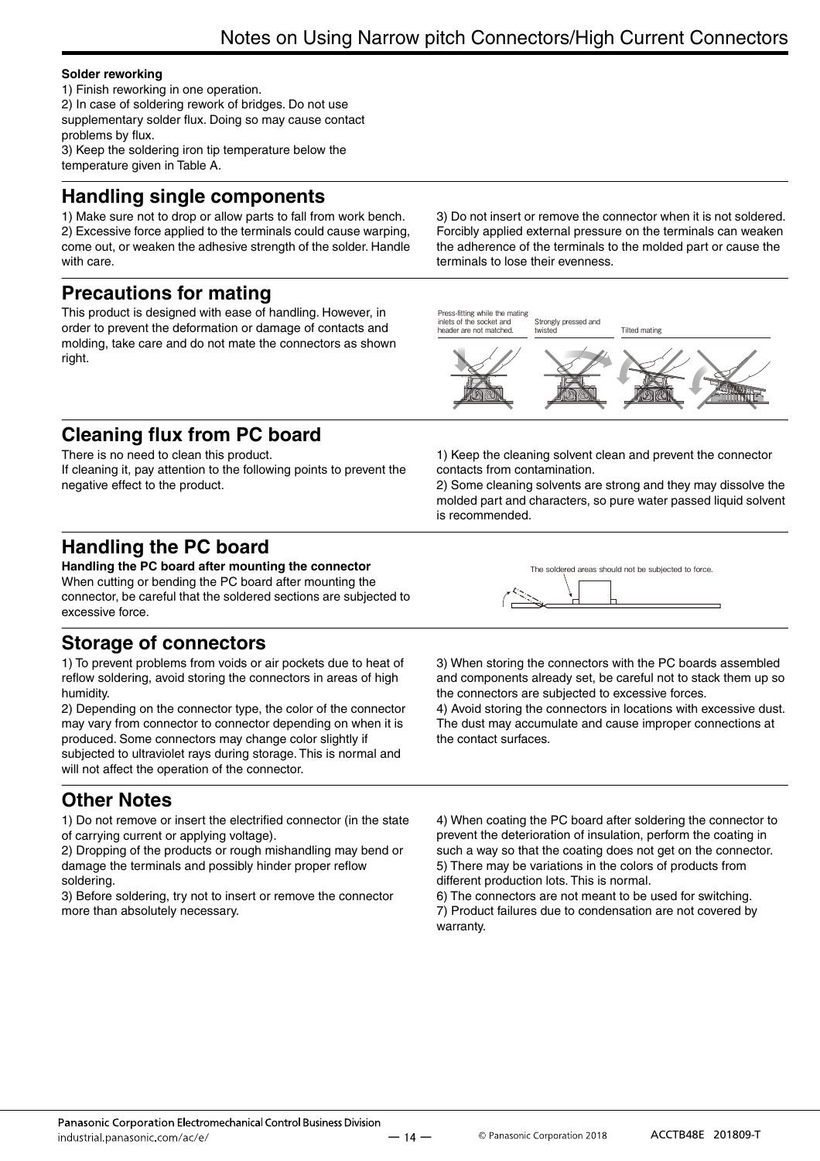#### **Solder reworking**

1) Finish reworking in one operation. 2) In case of soldering rework of bridges. Do not use supplementary solder flux. Doing so may cause contact

problems by flux. 3) Keep the soldering iron tip temperature below the temperature given in Table A.

## **Handling single components**

1) Make sure not to drop or allow parts to fall from work bench. 2) Excessive force applied to the terminals could cause warping, come out, or weaken the adhesive strength of the solder. Handle with care.

## **Precautions for mating**

This product is designed with ease of handling. However, in order to prevent the deformation or damage of contacts and molding, take care and do not mate the connectors as shown right.

3) Do not insert or remove the connector when it is not soldered. Forcibly applied external pressure on the terminals can weaken the adherence of the terminals to the molded part or cause the terminals to lose their evenness.



1) Keep the cleaning solvent clean and prevent the connector

2) Some cleaning solvents are strong and they may dissolve the molded part and characters, so pure water passed liquid solvent

contacts from contamination.

is recommended.

## **Cleaning flux from PC board**

There is no need to clean this product. If cleaning it, pay attention to the following points to prevent the negative effect to the product.

## **Handling the PC board**

**Handling the PC board after mounting the connector** When cutting or bending the PC board after mounting the connector, be careful that the soldered sections are subjected to excessive force.

## **Storage of connectors**

1) To prevent problems from voids or air pockets due to heat of reflow soldering, avoid storing the connectors in areas of high humidity.

2) Depending on the connector type, the color of the connector may vary from connector to connector depending on when it is produced. Some connectors may change color slightly if subjected to ultraviolet rays during storage. This is normal and will not affect the operation of the connector.

## **Other Notes**

1) Do not remove or insert the electrified connector (in the state of carrying current or applying voltage).

2) Dropping of the products or rough mishandling may bend or damage the terminals and possibly hinder proper reflow soldering.

3) Before soldering, try not to insert or remove the connector more than absolutely necessary.

| The soldered areas should not be subjected to force. |  |
|------------------------------------------------------|--|
|                                                      |  |

3) When storing the connectors with the PC boards assembled and components already set, be careful not to stack them up so the connectors are subjected to excessive forces.

4) Avoid storing the connectors in locations with excessive dust. The dust may accumulate and cause improper connections at the contact surfaces.

4) When coating the PC board after soldering the connector to prevent the deterioration of insulation, perform the coating in such a way so that the coating does not get on the connector. 5) There may be variations in the colors of products from different production lots. This is normal.

6) The connectors are not meant to be used for switching. 7) Product failures due to condensation are not covered by warranty.

 $-14 -$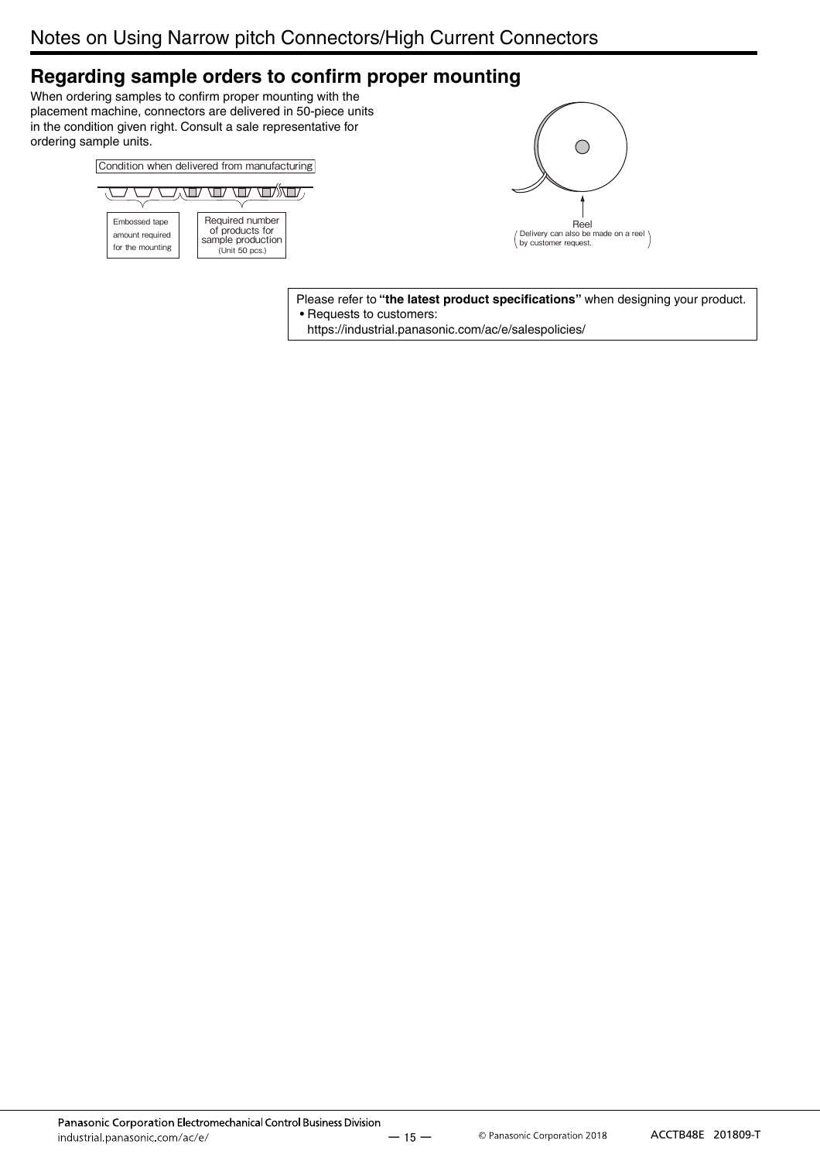## **Regarding sample orders to confirm proper mounting**

When ordering samples to confirm proper mounting with the placement machine, connectors are delivered in 50-piece units in the condition given right. Consult a sale representative for ordering sample units.





Please refer to **"the latest product specifications"** when designing your product. • Requests to customers:

https://industrial.panasonic.com/ac/e/salespolicies/